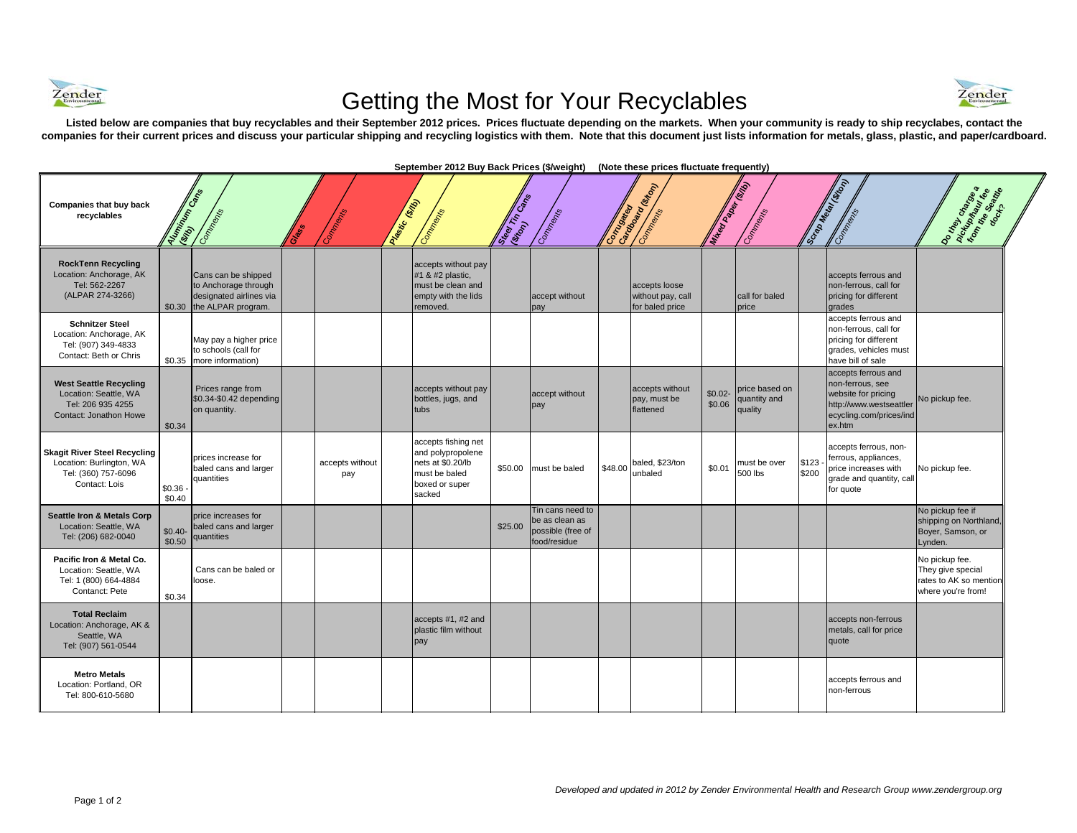

## Getting the Most for Your Recyclables



Listed below are companies that buy recyclables and their September 2012 prices. Prices fluctuate depending on the markets. When your community is ready to ship recyclabes, contact the **companies for their current prices and discuss your particular shipping and recycling logistics with them. Note that this document just lists information for metals, glass, plastic, and paper/cardboard.**

| Companies that buy back<br>recyclables                                                                  | <b>Auminion Case</b> | Comments (S                                                                                         | Connectice             | Pastic Girls | Comments                                                                                                   | Substitution of | Comments                                                                |         | Correspondence (Maria Correspondence)<br>Comments     | <b>Mitted Paper Stage</b> | Commercial Street                         |                | <b>Scripture Manufacturers</b><br>Contraction                                                                                  | <b>Domeworks</b>                                                                    |
|---------------------------------------------------------------------------------------------------------|----------------------|-----------------------------------------------------------------------------------------------------|------------------------|--------------|------------------------------------------------------------------------------------------------------------|-----------------|-------------------------------------------------------------------------|---------|-------------------------------------------------------|---------------------------|-------------------------------------------|----------------|--------------------------------------------------------------------------------------------------------------------------------|-------------------------------------------------------------------------------------|
| <b>RockTenn Recycling</b><br>Location: Anchorage, AK<br>Tel: 562-2267<br>(ALPAR 274-3266)               |                      | Cans can be shipped<br>to Anchorage through<br>designated airlines via<br>\$0.30 the ALPAR program. |                        |              | accepts without pay<br>#1 & #2 plastic,<br>must be clean and<br>empty with the lids<br>removed.            |                 | accept without<br>pay                                                   |         | accepts loose<br>without pay, call<br>for baled price |                           | call for baled<br>price                   |                | accepts ferrous and<br>non-ferrous, call for<br>pricing for different<br>grades                                                |                                                                                     |
| <b>Schnitzer Steel</b><br>Location: Anchorage, AK<br>Tel: (907) 349-4833<br>Contact: Beth or Chris      |                      | May pay a higher price<br>to schools (call for<br>\$0.35 more information)                          |                        |              |                                                                                                            |                 |                                                                         |         |                                                       |                           |                                           |                | accepts ferrous and<br>non-ferrous, call for<br>pricing for different<br>grades, vehicles must<br>have bill of sale            |                                                                                     |
| <b>West Seattle Recycling</b><br>Location: Seattle, WA<br>Tel: 206 935 4255<br>Contact: Jonathon Howe   | \$0.34               | Prices range from<br>\$0.34-\$0.42 depending<br>on quantity.                                        |                        |              | accepts without pay<br>bottles, jugs, and<br>tubs                                                          |                 | accept without<br>pay                                                   |         | accepts without<br>pay, must be<br>flattened          | $$0.02-$<br>\$0.06        | price based on<br>quantity and<br>quality |                | accepts ferrous and<br>non-ferrous, see<br>website for pricing<br>http://www.westseattler<br>ecycling.com/prices/ind<br>ex.htm | No pickup fee.                                                                      |
| <b>Skagit River Steel Recycling</b><br>Location: Burlington, WA<br>Tel: (360) 757-6096<br>Contact: Lois | \$0.36<br>\$0.40     | prices increase for<br>baled cans and larger<br>quantities                                          | accepts without<br>pay |              | accepts fishing net<br>and polypropolene<br>nets at \$0.20/lb<br>must be baled<br>boxed or super<br>sacked |                 | \$50.00 must be baled                                                   | \$48.00 | baled, \$23/ton<br>unbaled                            | \$0.01                    | must be over<br>500 lbs                   | \$123<br>\$200 | accepts ferrous, non-<br>ferrous, appliances,<br>price increases with<br>grade and quantity, call<br>for quote                 | No pickup fee.                                                                      |
| Seattle Iron & Metals Corp<br>Location: Seattle, WA<br>Tel: (206) 682-0040                              | $$0.40-$<br>\$0.50   | price increases for<br>baled cans and larger<br>quantities                                          |                        |              |                                                                                                            | \$25.00         | Tin cans need to<br>be as clean as<br>possible (free of<br>food/residue |         |                                                       |                           |                                           |                |                                                                                                                                | No pickup fee if<br>shipping on Northland,<br>Boyer, Samson, or<br>Lynden.          |
| Pacific Iron & Metal Co.<br>Location: Seattle, WA<br>Tel: 1 (800) 664-4884<br>Contanct: Pete            | \$0.34               | Cans can be baled or<br>loose.                                                                      |                        |              |                                                                                                            |                 |                                                                         |         |                                                       |                           |                                           |                |                                                                                                                                | No pickup fee.<br>They give special<br>rates to AK so mention<br>where you're from! |
| <b>Total Reclaim</b><br>Location: Anchorage, AK &<br>Seattle, WA<br>Tel: (907) 561-0544                 |                      |                                                                                                     |                        |              | accepts #1, #2 and<br>plastic film without<br>pay                                                          |                 |                                                                         |         |                                                       |                           |                                           |                | accepts non-ferrous<br>metals, call for price<br>quote                                                                         |                                                                                     |
| <b>Metro Metals</b><br>Location: Portland, OR<br>Tel: 800-610-5680                                      |                      |                                                                                                     |                        |              |                                                                                                            |                 |                                                                         |         |                                                       |                           |                                           |                | accepts ferrous and<br>non-ferrous                                                                                             |                                                                                     |

September 2012 Buy Back Prices (\$/weight) (Note these prices fluctuate frequently)